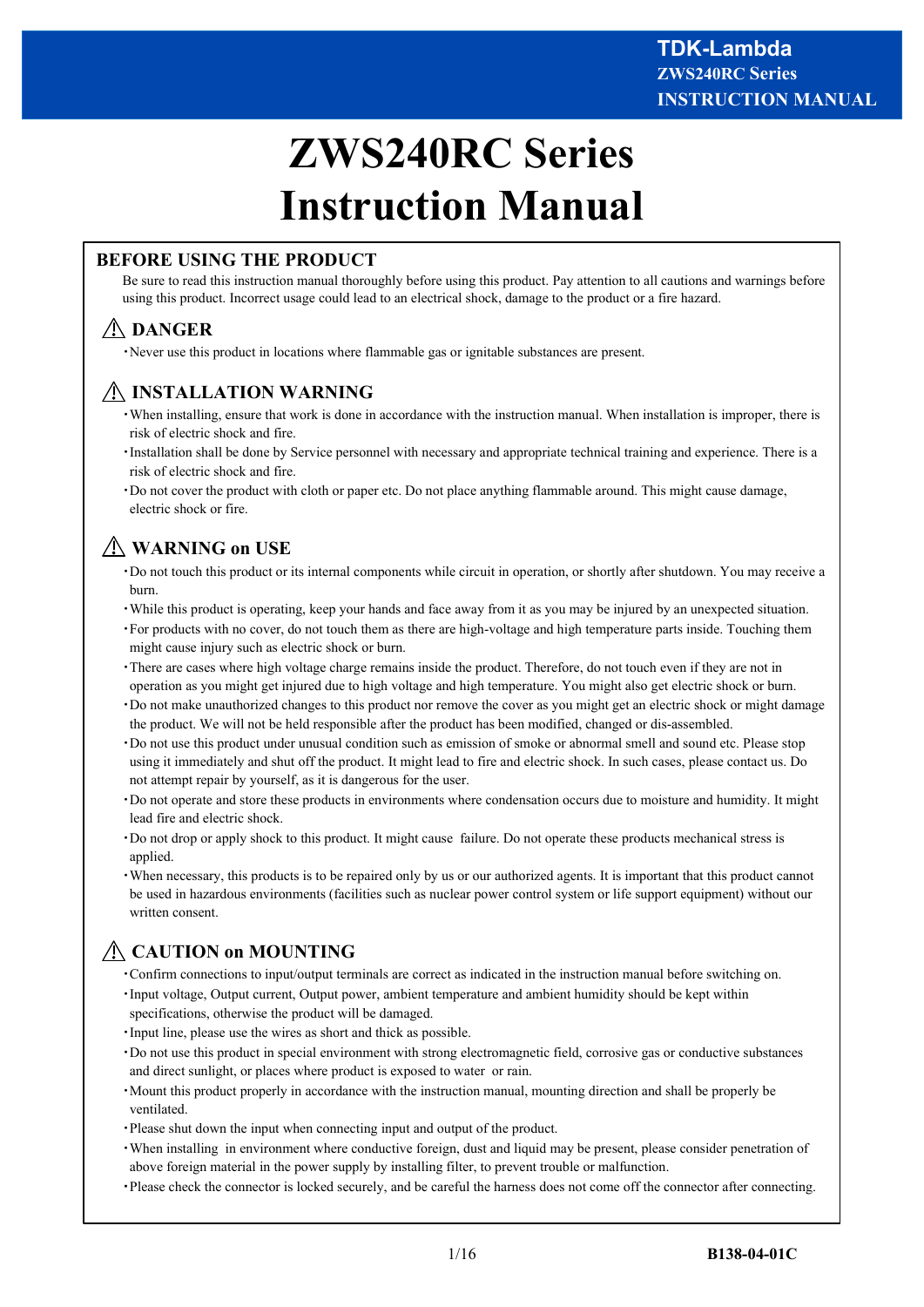# **ZWS240RC Series Instruction Manual**

## **BEFORE USING THE PRODUCT**

Be sure to read this instruction manual thoroughly before using this product. Pay attention to all cautions and warnings before using this product. Incorrect usage could lead to an electrical shock, damage to the product or a fire hazard.

# **DANGER**

・Never use this product in locations where flammable gas or ignitable substances are present.

# **INSTALLATION WARNING**

- ・When installing, ensure that work is done in accordance with the instruction manual. When installation is improper, there is risk of electric shock and fire.
- ・Installation shall be done by Service personnel with necessary and appropriate technical training and experience. There is a risk of electric shock and fire.
- ・Do not cover the product with cloth or paper etc. Do not place anything flammable around. This might cause damage, electric shock or fire.

# **WARNING on USE**

- ・Do not touch this product or its internal components while circuit in operation, or shortly after shutdown. You may receive a burn.
- ・While this product is operating, keep your hands and face away from it as you may be injured by an unexpected situation.
- ・For products with no cover, do not touch them as there are high-voltage and high temperature parts inside. Touching them might cause injury such as electric shock or burn.
- ・There are cases where high voltage charge remains inside the product. Therefore, do not touch even if they are not in operation as you might get injured due to high voltage and high temperature. You might also get electric shock or burn.
- ・Do not make unauthorized changes to this product nor remove the cover as you might get an electric shock or might damage the product. We will not be held responsible after the product has been modified, changed or dis-assembled.
- ・Do not use this product under unusual condition such as emission of smoke or abnormal smell and sound etc. Please stop using it immediately and shut off the product. It might lead to fire and electric shock. In such cases, please contact us. Do not attempt repair by yourself, as it is dangerous for the user.
- ・Do not operate and store these products in environments where condensation occurs due to moisture and humidity. It might lead fire and electric shock.
- ・Do not drop or apply shock to this product. It might cause failure. Do not operate these products mechanical stress is applied.
- ・When necessary, this products is to be repaired only by us or our authorized agents. It is important that this product cannot be used in hazardous environments (facilities such as nuclear power control system or life support equipment) without our written consent.

# **CAUTION on MOUNTING**

- ・Confirm connections to input/output terminals are correct as indicated in the instruction manual before switching on.
- ・Input voltage, Output current, Output power, ambient temperature and ambient humidity should be kept within specifications, otherwise the product will be damaged.
- ・Input line, please use the wires as short and thick as possible.
- ・Do not use this product in special environment with strong electromagnetic field, corrosive gas or conductive substances and direct sunlight, or places where product is exposed to water or rain.
- ・Mount this product properly in accordance with the instruction manual, mounting direction and shall be properly be ventilated.
- ・Please shut down the input when connecting input and output of the product.
- ・When installing in environment where conductive foreign, dust and liquid may be present, please consider penetration of above foreign material in the power supply by installing filter, to prevent trouble or malfunction.
- ・Please check the connector is locked securely, and be careful the harness does not come off the connector after connecting.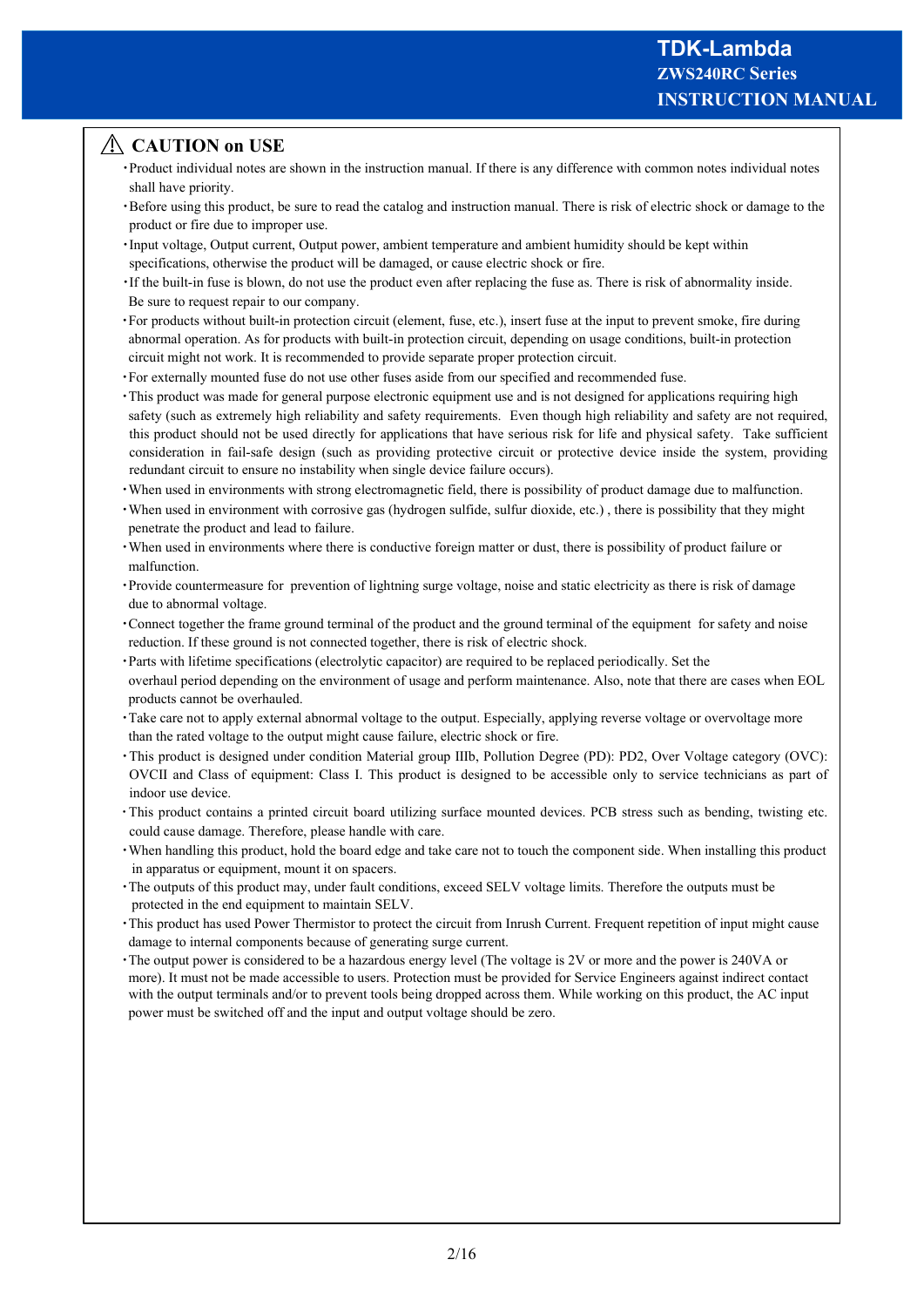## **CAUTION on USE**

- ・Product individual notes are shown in the instruction manual. If there is any difference with common notes individual notes shall have priority.
- ・Before using this product, be sure to read the catalog and instruction manual. There is risk of electric shock or damage to the product or fire due to improper use.
- ・Input voltage, Output current, Output power, ambient temperature and ambient humidity should be kept within specifications, otherwise the product will be damaged, or cause electric shock or fire.
- ・If the built-in fuse is blown, do not use the product even after replacing the fuse as. There is risk of abnormality inside. Be sure to request repair to our company.
- ・For products without built-in protection circuit (element, fuse, etc.), insert fuse at the input to prevent smoke, fire during abnormal operation. As for products with built-in protection circuit, depending on usage conditions, built-in protection circuit might not work. It is recommended to provide separate proper protection circuit.
- ・For externally mounted fuse do not use other fuses aside from our specified and recommended fuse.
- ・This product was made for general purpose electronic equipment use and is not designed for applications requiring high safety (such as extremely high reliability and safety requirements. Even though high reliability and safety are not required, this product should not be used directly for applications that have serious risk for life and physical safety. Take sufficient consideration in fail-safe design (such as providing protective circuit or protective device inside the system, providing redundant circuit to ensure no instability when single device failure occurs).
- ・When used in environments with strong electromagnetic field, there is possibility of product damage due to malfunction.
- ・When used in environment with corrosive gas (hydrogen sulfide, sulfur dioxide, etc.) , there is possibility that they might penetrate the product and lead to failure.
- ・When used in environments where there is conductive foreign matter or dust, there is possibility of product failure or malfunction.
- ・Provide countermeasure for prevention of lightning surge voltage, noise and static electricity as there is risk of damage due to abnormal voltage.
- ・Connect together the frame ground terminal of the product and the ground terminal of the equipment for safety and noise reduction. If these ground is not connected together, there is risk of electric shock.
- ・Parts with lifetime specifications (electrolytic capacitor) are required to be replaced periodically. Set the overhaul period depending on the environment of usage and perform maintenance. Also, note that there are cases when EOL products cannot be overhauled.
- ・Take care not to apply external abnormal voltage to the output. Especially, applying reverse voltage or overvoltage more than the rated voltage to the output might cause failure, electric shock or fire.
- ・This product is designed under condition Material group Ⅲb, Pollution Degree (PD): PD2, Over Voltage category (OVC): OVCⅡ and Class of equipment: Class Ⅰ. This product is designed to be accessible only to service technicians as part of indoor use device.
- ・This product contains a printed circuit board utilizing surface mounted devices. PCB stress such as bending, twisting etc. could cause damage. Therefore, please handle with care.
- ・When handling this product, hold the board edge and take care not to touch the component side. When installing this product in apparatus or equipment, mount it on spacers.
- ・The outputs of this product may, under fault conditions, exceed SELV voltage limits. Therefore the outputs must be protected in the end equipment to maintain SELV.
- ・This product has used Power Thermistor to protect the circuit from Inrush Current. Frequent repetition of input might cause damage to internal components because of generating surge current.
- ・The output power is considered to be a hazardous energy level (The voltage is 2V or more and the power is 240VA or more). It must not be made accessible to users. Protection must be provided for Service Engineers against indirect contact with the output terminals and/or to prevent tools being dropped across them. While working on this product, the AC input power must be switched off and the input and output voltage should be zero.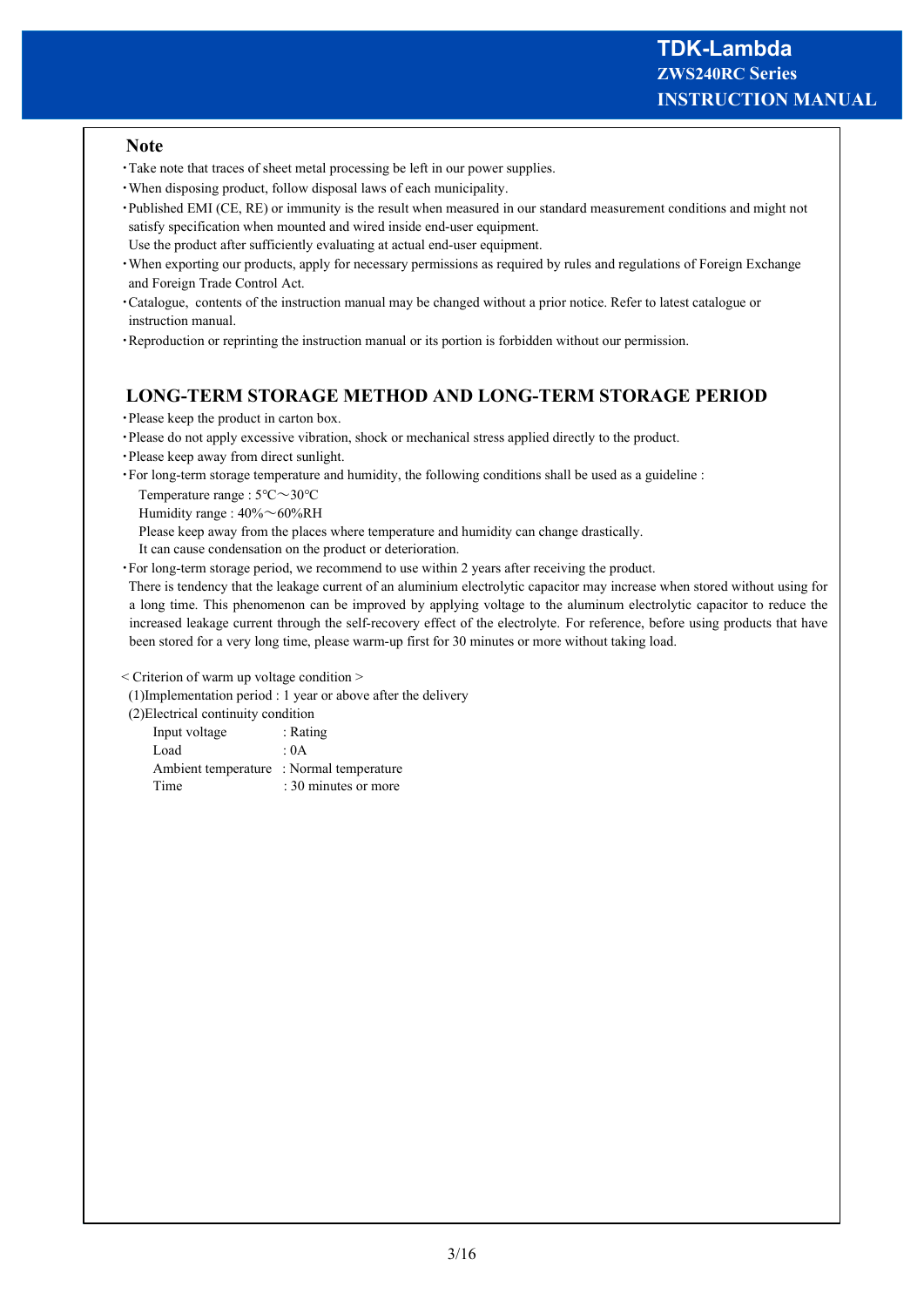#### **Note**

- ・Take note that traces of sheet metal processing be left in our power supplies.
- ・When disposing product, follow disposal laws of each municipality.
- ・Published EMI (CE, RE) or immunity is the result when measured in our standard measurement conditions and might not satisfy specification when mounted and wired inside end-user equipment.
- Use the product after sufficiently evaluating at actual end-user equipment.
- ・When exporting our products, apply for necessary permissions as required by rules and regulations of Foreign Exchange and Foreign Trade Control Act.
- ・Catalogue, contents of the instruction manual may be changed without a prior notice. Refer to latest catalogue or instruction manual.
- ・Reproduction or reprinting the instruction manual or its portion is forbidden without our permission.

## **LONG-TERM STORAGE METHOD AND LONG-TERM STORAGE PERIOD**

- ・Please keep the product in carton box.
- ・Please do not apply excessive vibration, shock or mechanical stress applied directly to the product.
- ・Please keep away from direct sunlight.
- ・For long-term storage temperature and humidity, the following conditions shall be used as a guideline :

Temperature range : 5℃~30℃

Humidity range : 40%~60%RH

Please keep away from the places where temperature and humidity can change drastically.

- It can cause condensation on the product or deterioration.
- ・For long-term storage period, we recommend to use within 2 years after receiving the product.

 There is tendency that the leakage current of an aluminium electrolytic capacitor may increase when stored without using for a long time. This phenomenon can be improved by applying voltage to the aluminum electrolytic capacitor to reduce the increased leakage current through the self-recovery effect of the electrolyte. For reference, before using products that have been stored for a very long time, please warm-up first for 30 minutes or more without taking load.

< Criterion of warm up voltage condition >

(1)Implementation period : 1 year or above after the delivery

(2)Electrical continuity condition

| Input voltage                            | : Rating             |
|------------------------------------------|----------------------|
| Load                                     | : 0A                 |
| Ambient temperature : Normal temperature |                      |
| Time                                     | : 30 minutes or more |
|                                          |                      |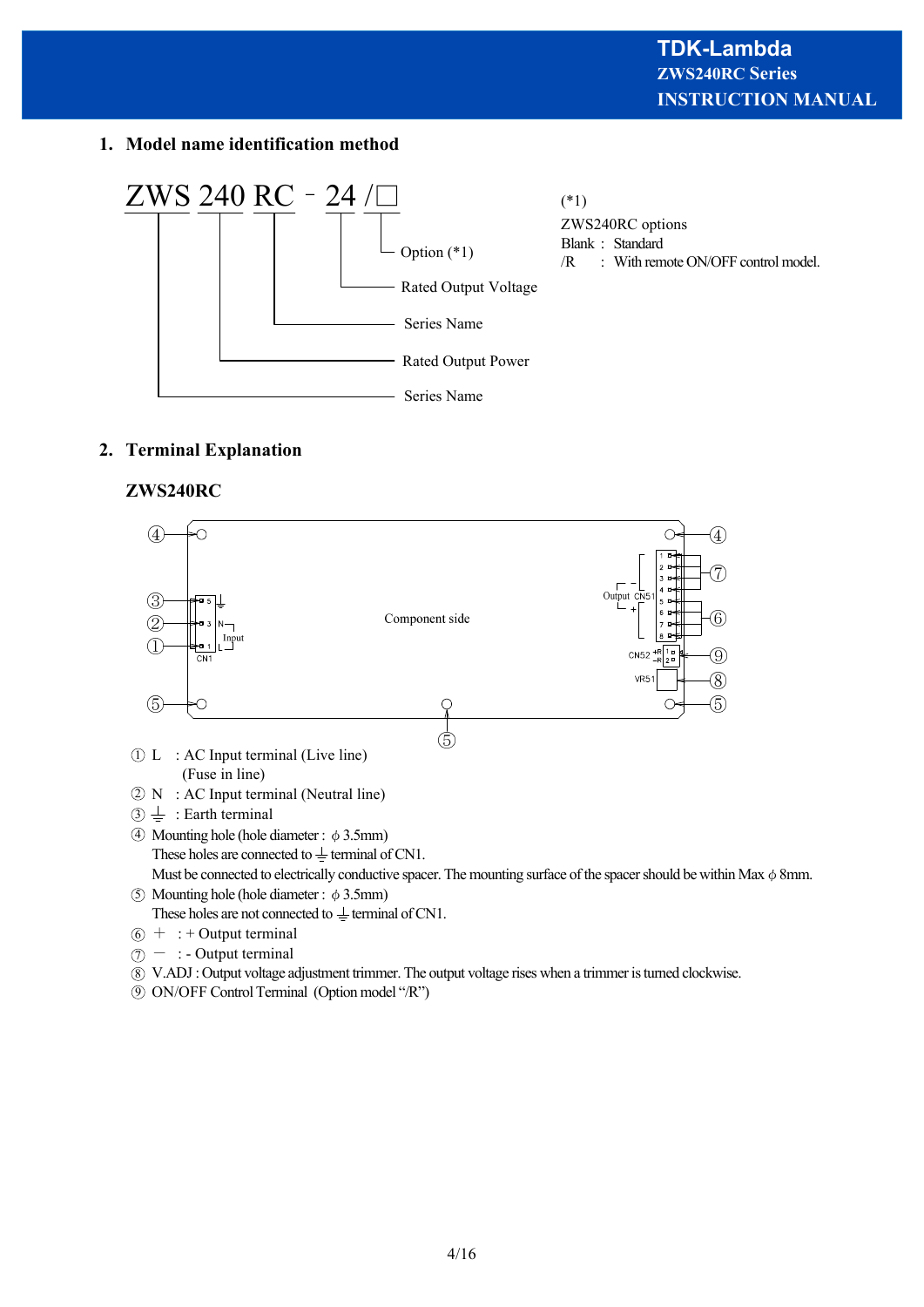## **1. Model name identification method**



## **2. Terminal Explanation**

## **ZWS240RC**



- $6 + :$  + Output terminal
- $\mathcal{D}$  : Output terminal

V.ADJ : Output voltage adjustment trimmer. The output voltage rises when a trimmer is turned clockwise. 8

ON/OFF Control Terminal (Option model "/R") 9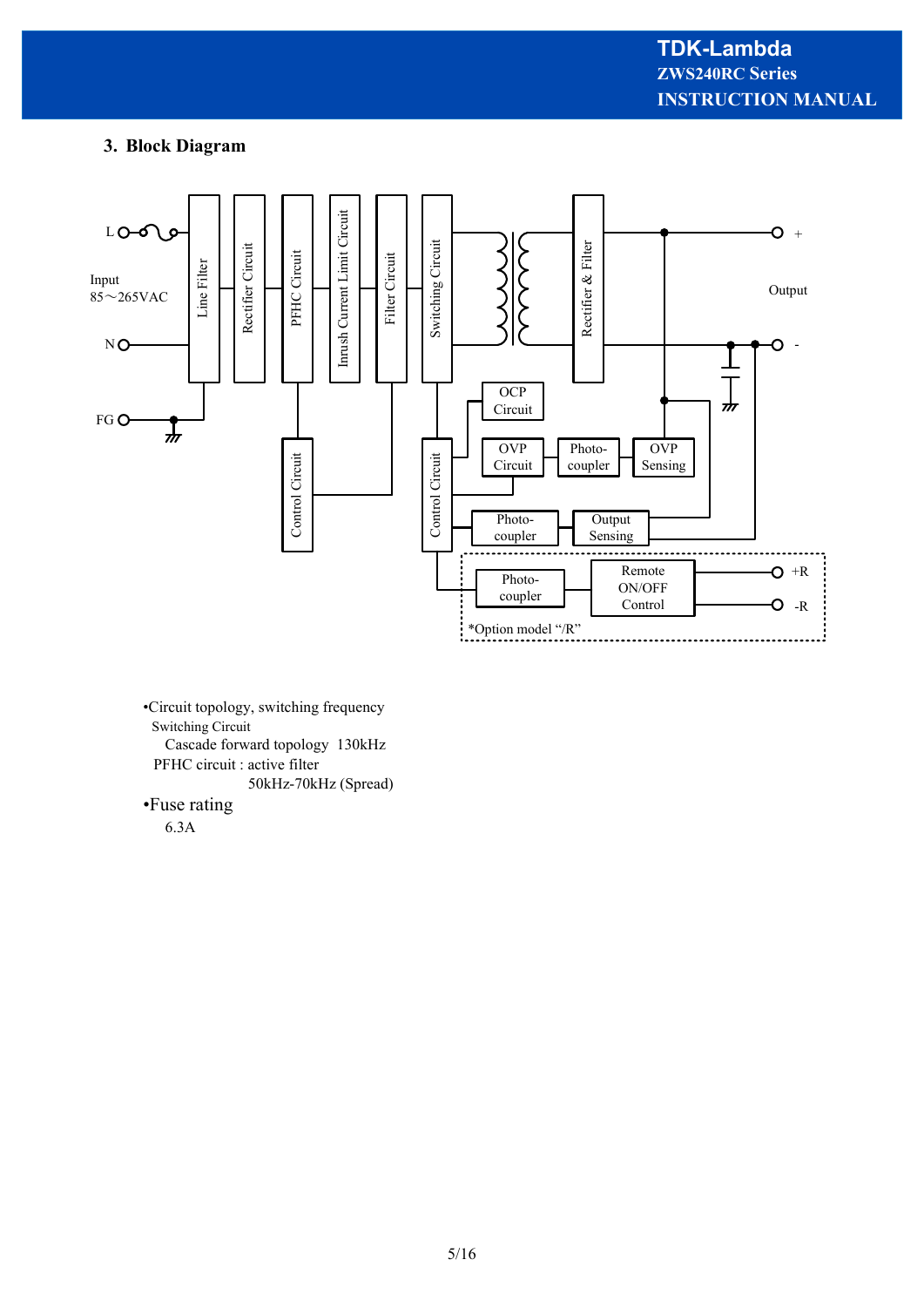## **3. Block Diagram**



•Circuit topology, switching frequency Switching Circuit Cascade forward topology 130kHz PFHC circuit : active filter 50kHz-70kHz (Spread)

#### •Fuse rating

6.3A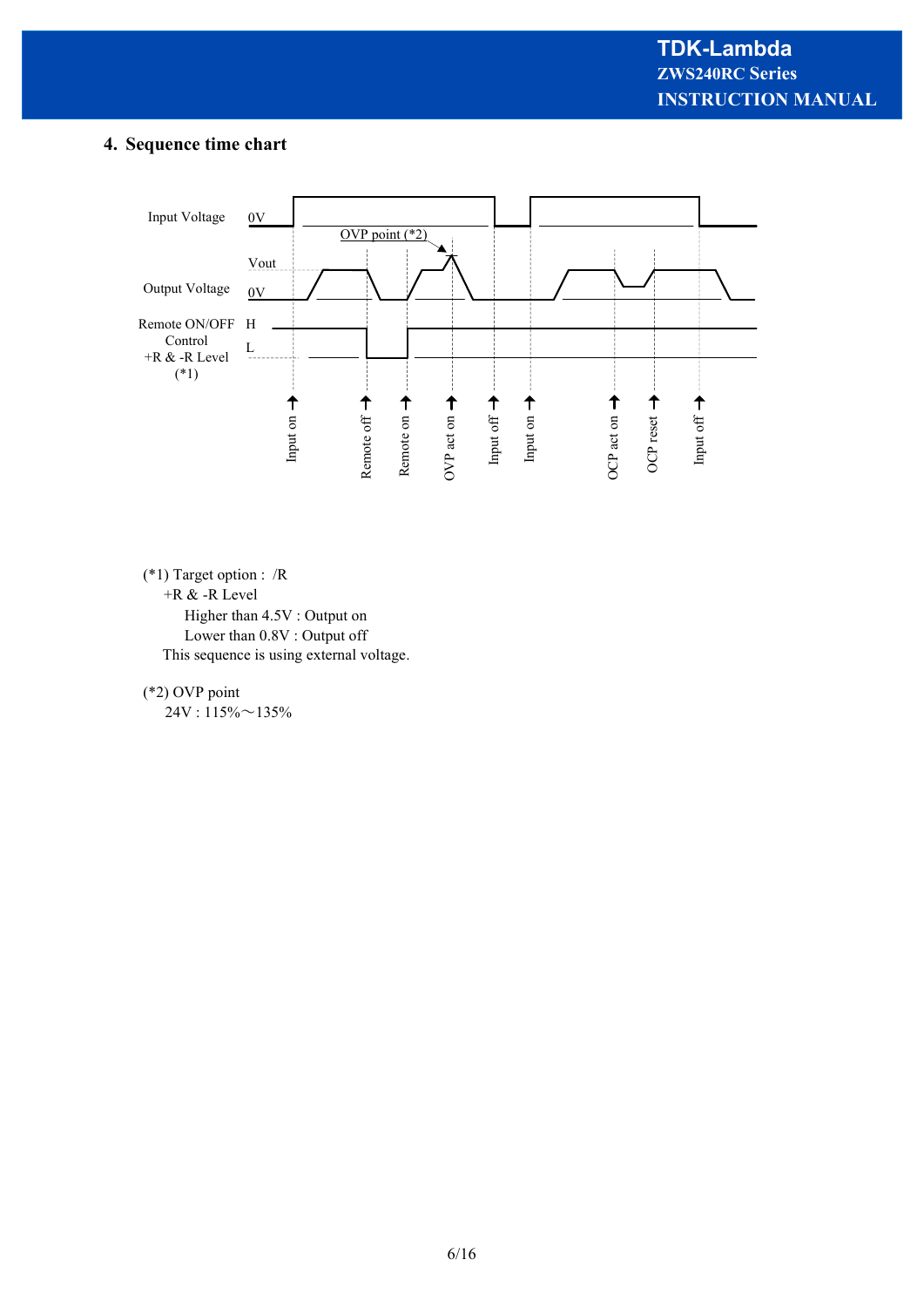## **4. Sequence time chart**



(\*1) Target option : /R

+R & -R Level

 Higher than 4.5V : Output on Lower than 0.8V : Output off This sequence is using external voltage.

(\*2) OVP point

 $24V : 115\% \sim 135\%$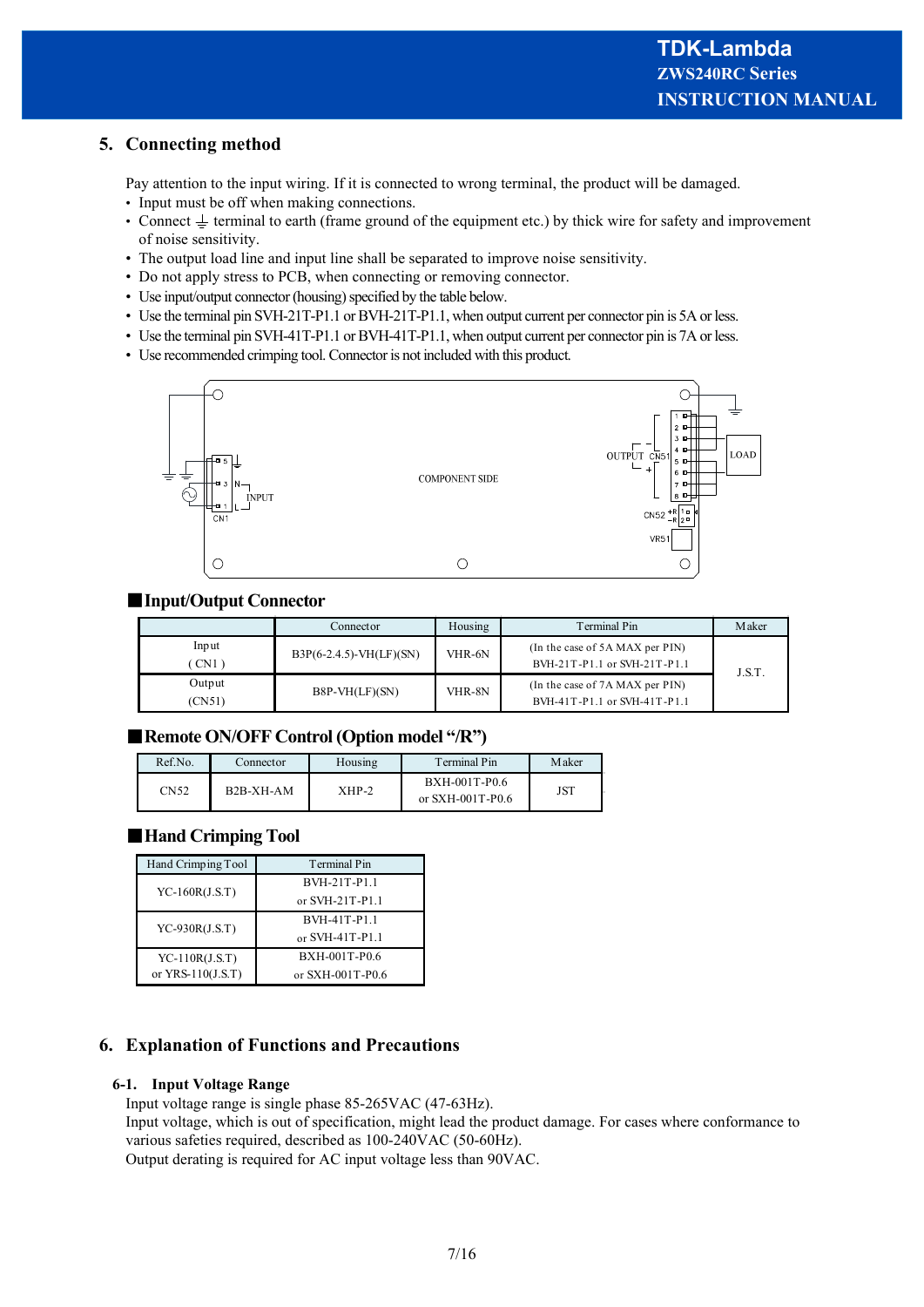## **5. Connecting method**

Pay attention to the input wiring. If it is connected to wrong terminal, the product will be damaged.

- Input must be off when making connections.
- Connect  $\perp$  terminal to earth (frame ground of the equipment etc.) by thick wire for safety and improvement of noise sensitivity.
- The output load line and input line shall be separated to improve noise sensitivity.
- Do not apply stress to PCB, when connecting or removing connector.
- Use input/output connector (housing) specified by the table below.
- Use the terminal pin SVH-21T-P1.1 or BVH-21T-P1.1, when output current per connector pin is 5A or less.
- Use the terminal pin SVH-41T-P1.1 or BVH-41T-P1.1, when output current per connector pin is 7A or less.
- Use recommended crimping tool. Connector is not included with this product.



## ■**Input/Output Connector**

|                  | Connector                 | Housing | Terminal Pin                                                    | Maker  |
|------------------|---------------------------|---------|-----------------------------------------------------------------|--------|
| Input<br>CN1)    | $B3P(6-2.4.5)-VH(LF)(SN)$ | VHR-6N  | (In the case of 5A MAX per PIN)<br>BVH-21T-P1.1 or SVH-21T-P1.1 | J.S.T. |
| Output<br>(CN51) | $B8P-VH(LF)(SN)$          | VHR-8N  | (In the case of 7A MAX per PIN)<br>BVH-41T-P1.1 or SVH-41T-P1.1 |        |

## ■**Remote ON/OFF Control (Option model "/R")**

| Ref.No. | Connector   | Housing | Terminal Pin                      | Maker |
|---------|-------------|---------|-----------------------------------|-------|
| CN52    | $B2B-XH-AM$ | XHP-2   | BXH-001T-P0.6<br>or SXH-001T-P0.6 | JST   |

## ■**Hand Crimping Tool**

| Hand Crimping Tool  | <b>Terminal Pin</b> |
|---------------------|---------------------|
| $YC-160R(J.S.T)$    | BVH-21T-P1.1        |
|                     | or SVH-21T-P1.1     |
| $YC-930R(J.S.T)$    | <b>BVH-41T-P1.1</b> |
|                     | or SVH-41T-P1.1     |
| $YC-110R(J.S.T)$    | BXH-001T-P0.6       |
| or $YRS-110(J.S.T)$ | or $SXH-001T-PO.6$  |

## **6. Explanation of Functions and Precautions**

#### **6-1. Input Voltage Range**

Input voltage range is single phase 85-265VAC (47-63Hz).

Input voltage, which is out of specification, might lead the product damage. For cases where conformance to various safeties required, described as 100-240VAC (50-60Hz).

Output derating is required for AC input voltage less than 90VAC.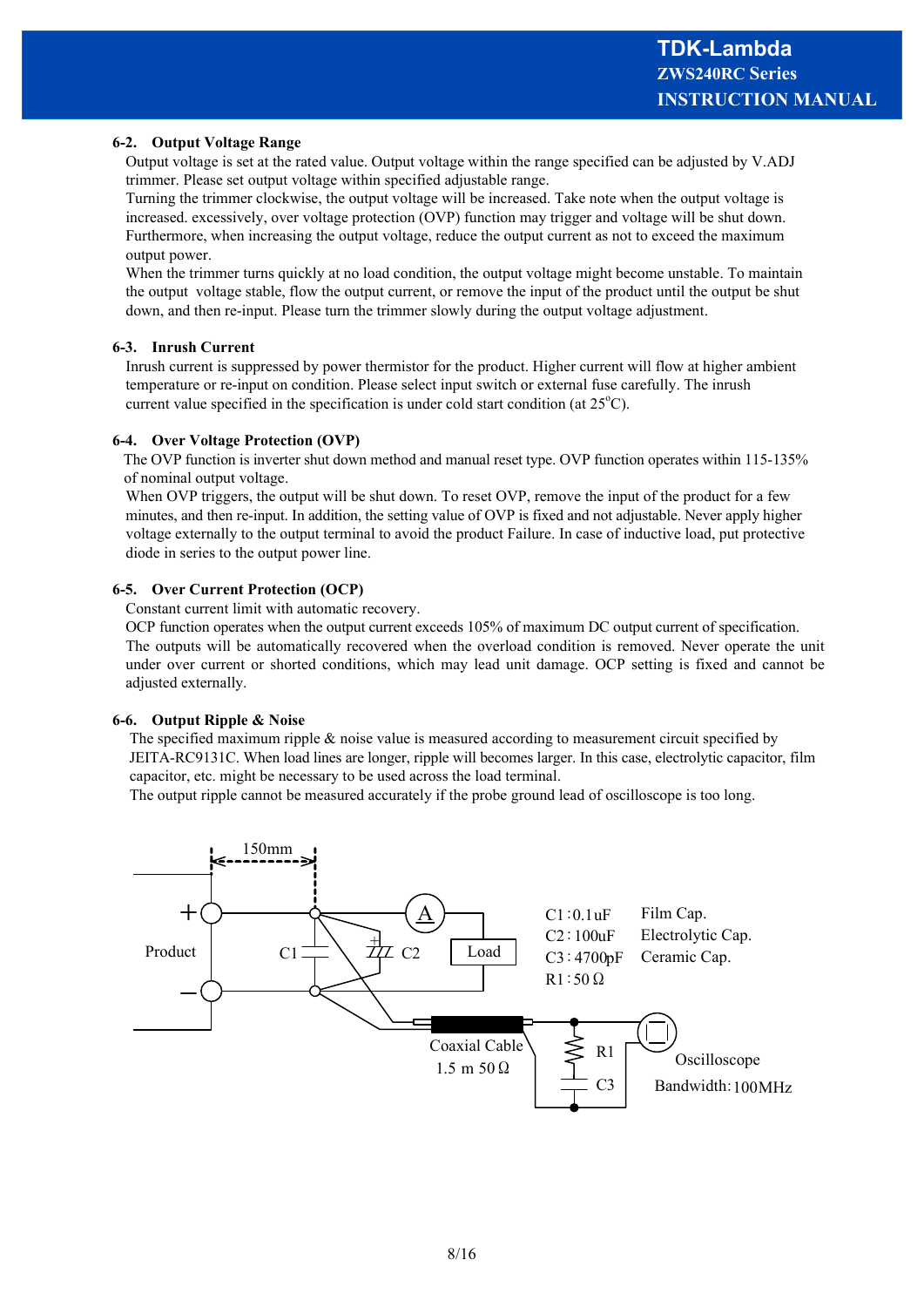#### **6-2. Output Voltage Range**

Output voltage is set at the rated value. Output voltage within the range specified can be adjusted by V.ADJ trimmer. Please set output voltage within specified adjustable range.

Turning the trimmer clockwise, the output voltage will be increased. Take note when the output voltage is increased. excessively, over voltage protection (OVP) function may trigger and voltage will be shut down. Furthermore, when increasing the output voltage, reduce the output current as not to exceed the maximum output power.

When the trimmer turns quickly at no load condition, the output voltage might become unstable. To maintain the output voltage stable, flow the output current, or remove the input of the product until the output be shut down, and then re-input. Please turn the trimmer slowly during the output voltage adjustment.

#### **6-3. Inrush Current**

Inrush current is suppressed by power thermistor for the product. Higher current will flow at higher ambient temperature or re-input on condition. Please select input switch or external fuse carefully. The inrush current value specified in the specification is under cold start condition (at  $25^{\circ}$ C).

#### **6-4. Over Voltage Protection (OVP)**

 The OVP function is inverter shut down method and manual reset type. OVP function operates within 115-135% of nominal output voltage.

When OVP triggers, the output will be shut down. To reset OVP, remove the input of the product for a few minutes, and then re-input. In addition, the setting value of OVP is fixed and not adjustable. Never apply higher voltage externally to the output terminal to avoid the product Failure. In case of inductive load, put protective diode in series to the output power line.

#### **6-5. Over Current Protection (OCP)**

Constant current limit with automatic recovery.

OCP function operates when the output current exceeds 105% of maximum DC output current of specification. The outputs will be automatically recovered when the overload condition is removed. Never operate the unit under over current or shorted conditions, which may lead unit damage. OCP setting is fixed and cannot be adjusted externally.

#### **6-6. Output Ripple & Noise**

The specified maximum ripple & noise value is measured according to measurement circuit specified by JEITA-RC9131C. When load lines are longer, ripple will becomes larger. In this case, electrolytic capacitor, film capacitor, etc. might be necessary to be used across the load terminal.

The output ripple cannot be measured accurately if the probe ground lead of oscilloscope is too long.

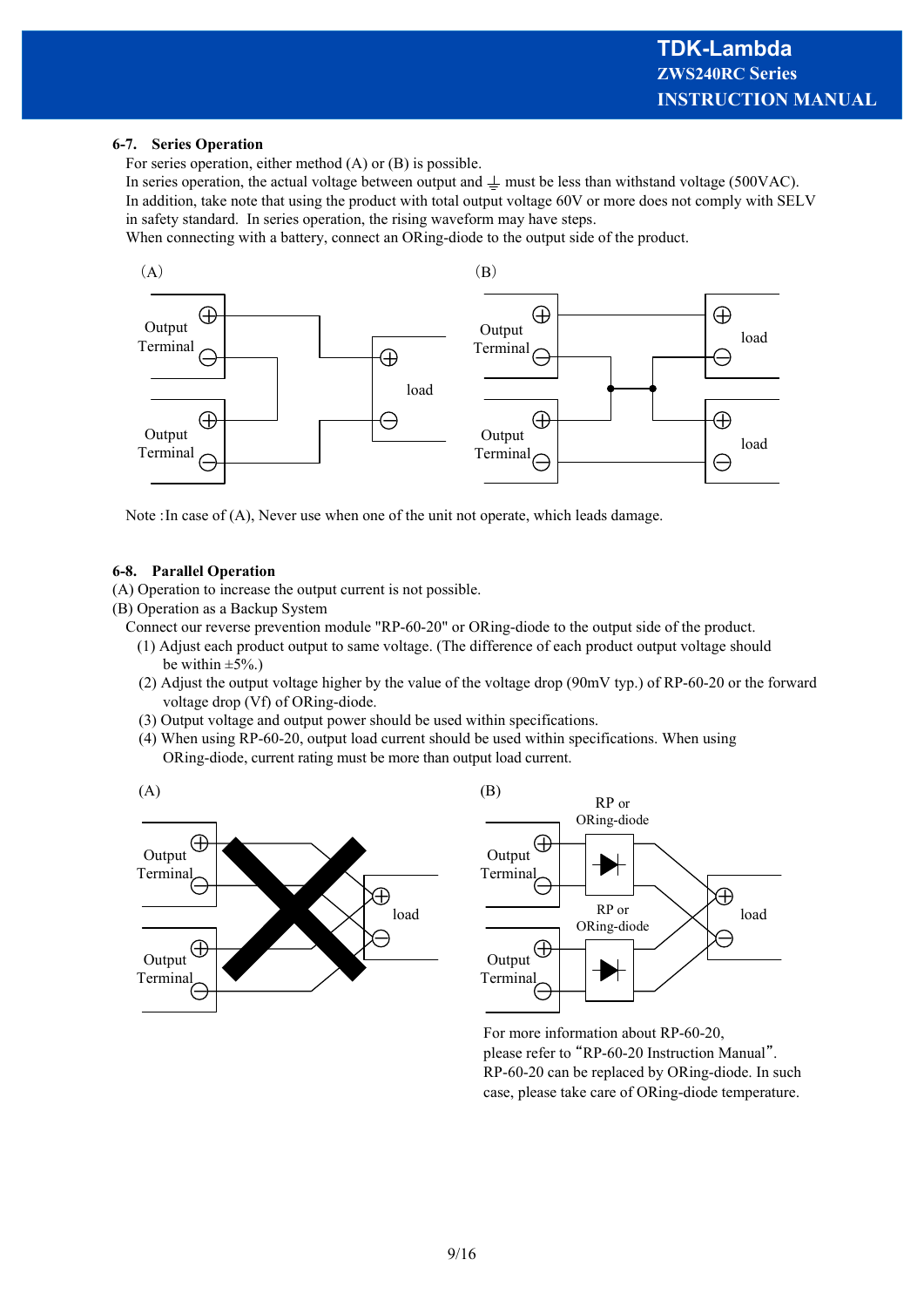#### **6-7. Series Operation**

For series operation, either method (A) or (B) is possible.

In series operation, the actual voltage between output and  $\perp$  must be less than withstand voltage (500VAC). In addition, take note that using the product with total output voltage 60V or more does not comply with SELV in safety standard. In series operation, the rising waveform may have steps.

When connecting with a battery, connect an ORing-diode to the output side of the product.



Note :In case of (A), Never use when one of the unit not operate, which leads damage.

#### **6-8. Parallel Operation**

(A) Operation to increase the output current is not possible.

(B) Operation as a Backup System

Connect our reverse prevention module "RP-60-20" or ORing-diode to the output side of the product.

- (1) Adjust each product output to same voltage. (The difference of each product output voltage should be within  $\pm 5\%$ .)
- (2) Adjust the output voltage higher by the value of the voltage drop (90mV typ.) of RP-60-20 or the forward voltage drop (Vf) of ORing-diode.
- (3) Output voltage and output power should be used within specifications.
- (4) When using RP-60-20, output load current should be used within specifications. When using ORing-diode, current rating must be more than output load current.





For more information about RP-60-20, please refer to "RP-60-20 Instruction Manual". RP-60-20 can be replaced by ORing-diode. In such case, please take care of ORing-diode temperature.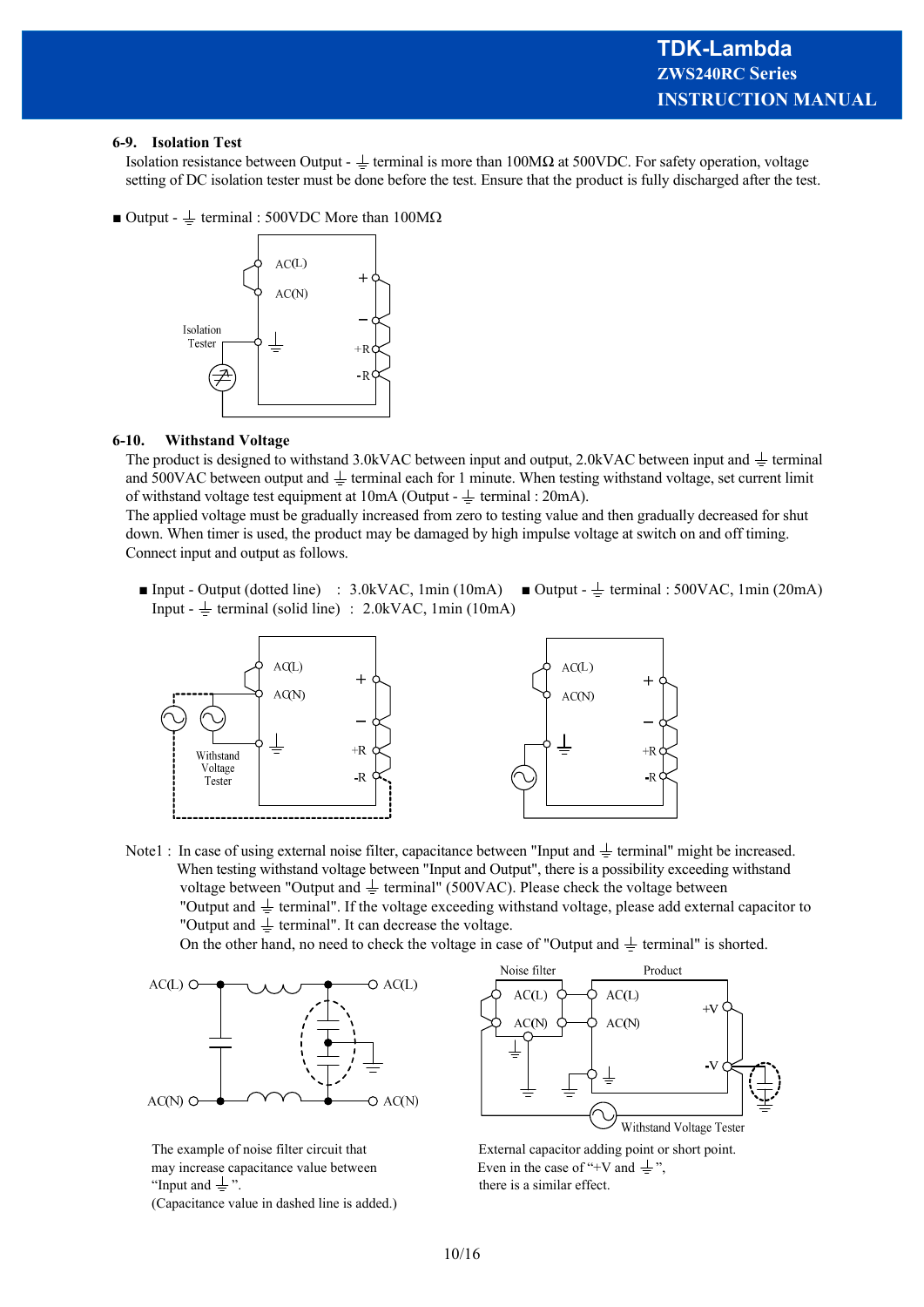#### **6-9. Isolation Test**

Isolation resistance between Output -  $\pm$  terminal is more than 100MΩ at 500VDC. For safety operation, voltage setting of DC isolation tester must be done before the test. Ensure that the product is fully discharged after the test.

■ Output -  $\frac{1}{\sqrt{2}}$  terminal : 500VDC More than 100MΩ



#### **6-10. Withstand Voltage**

The product is designed to withstand 3.0kVAC between input and output, 2.0kVAC between input and  $\pm$  terminal and 500VAC between output and  $\perp$  terminal each for 1 minute. When testing withstand voltage, set current limit of withstand voltage test equipment at  $10mA$  (Output -  $\pm$  terminal : 20mA).

The applied voltage must be gradually increased from zero to testing value and then gradually decreased for shut down. When timer is used, the product may be damaged by high impulse voltage at switch on and off timing. Connect input and output as follows.

■ Input - Output (dotted line) : 3.0kVAC, 1min (10mA) ■ Output -  $\frac{1}{2}$  terminal : 500VAC, 1min (20mA) Input -  $\pm$  terminal (solid line) : 2.0kVAC, 1min (10mA)



Note1 : In case of using external noise filter, capacitance between "Input and  $\pm$  terminal" might be increased. When testing withstand voltage between "Input and Output", there is a possibility exceeding withstand voltage between "Output and  $\pm$  terminal" (500VAC). Please check the voltage between "Output and  $\pm$  terminal". If the voltage exceeding withstand voltage, please add external capacitor to "Output and  $\frac{1}{x}$  terminal". It can decrease the voltage.

On the other hand, no need to check the voltage in case of "Output and  $\pm$  terminal" is shorted.



may increase capacitance value between Even in the case of "+V and  $\pm$ ". "Input and  $\pm$ ". there is a similar effect.

(Capacitance value in dashed line is added.)



The example of noise filter circuit that External capacitor adding point or short point.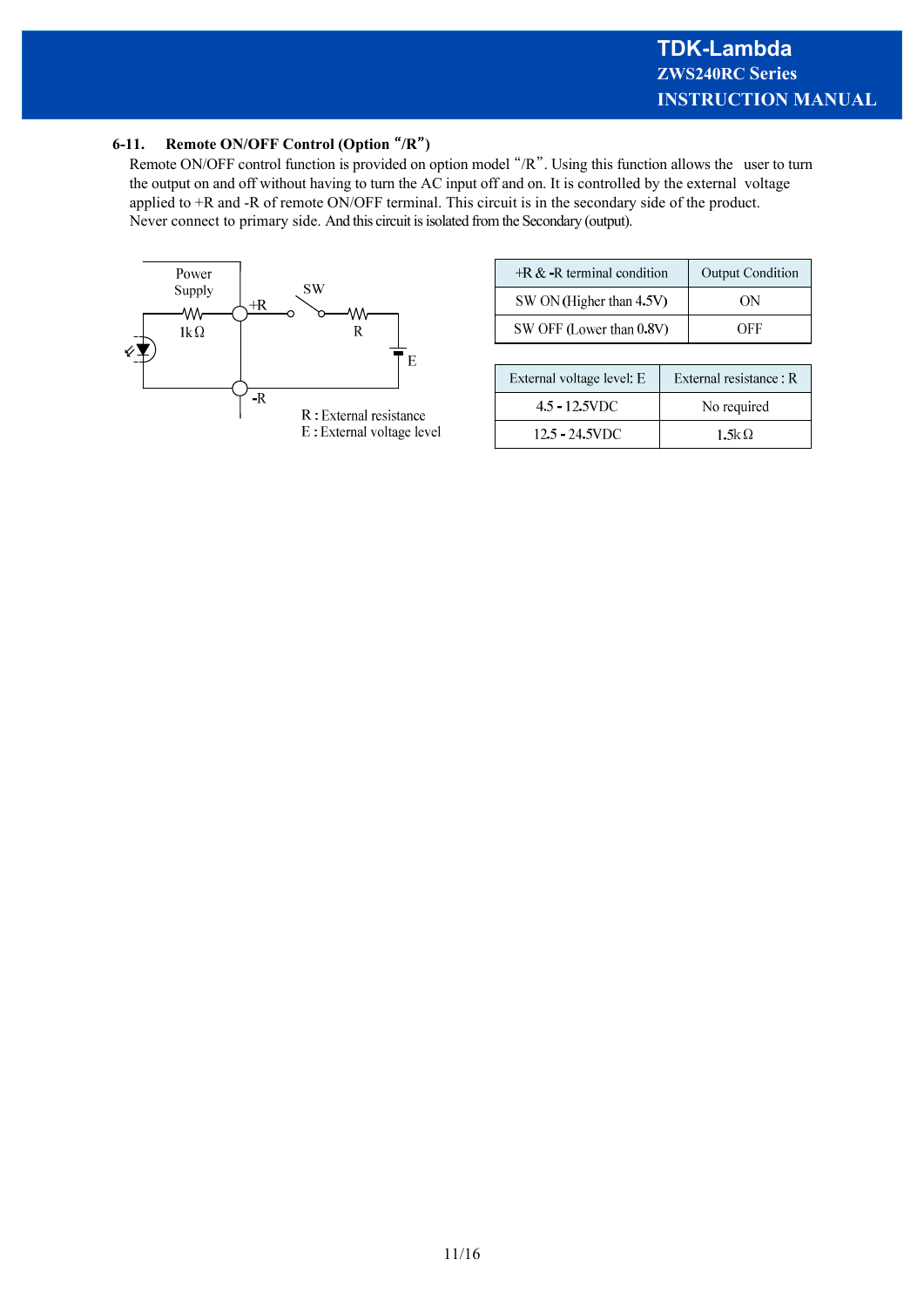## **6-11. Remote ON/OFF Control (Option** "**/R**"**)**

Remote ON/OFF control function is provided on option model "/R". Using this function allows the user to turn the output on and off without having to turn the AC input off and on. It is controlled by the external voltage applied to +R and -R of remote ON/OFF terminal. This circuit is in the secondary side of the product. Never connect to primary side. And this circuit is isolated from the Secondary (output).



| $+R &$ -R terminal condition | <b>Output Condition</b> |
|------------------------------|-------------------------|
| SW ON (Higher than 4.5V)     | ΩN                      |
| SW OFF (Lower than 0.8V)     | OEE                     |

| External voltage level: E |                   | External resistance: R |
|---------------------------|-------------------|------------------------|
|                           | 4.5 - 12.5VDC     | No required            |
|                           | $12.5 - 24.5$ VDC | $1.5k\Omega$           |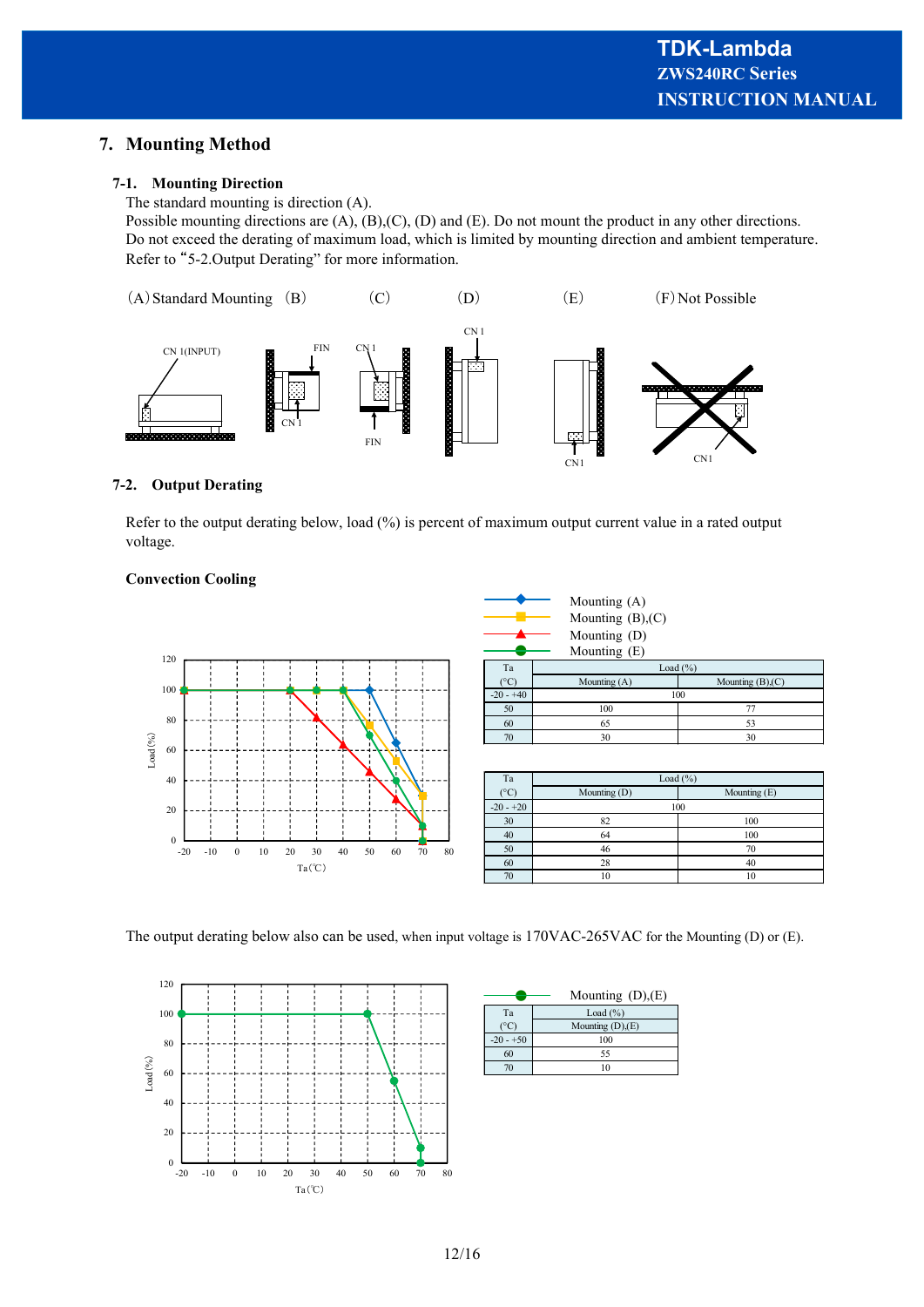## **7. Mounting Method**

#### **7-1. Mounting Direction**

The standard mounting is direction (A).

Possible mounting directions are (A), (B),(C), (D) and (E). Do not mount the product in any other directions. Do not exceed the derating of maximum load, which is limited by mounting direction and ambient temperature. Refer to "5-2.Output Derating" for more information.



#### **7-2. Output Derating**

Refer to the output derating below, load (%) is percent of maximum output current value in a rated output voltage.

#### **Convection Cooling**



Mounting (A) Mounting  $(B)$ , $(C)$ Mounting (D) Mounting (E)

| Ta          | Load $(\% )$                           |     |
|-------------|----------------------------------------|-----|
|             | Mounting $(B)$ , $(C)$<br>Mounting (A) |     |
| $-20 - +40$ |                                        | 100 |
| 50          | 100                                    |     |
| 60          | 65                                     |     |
| 70          | 30<br>30                               |     |

| Ta          | Load $(\% )$                 |     |  |  |
|-------------|------------------------------|-----|--|--|
| $^{\circ}C$ | Mounting (D)<br>Mounting (E) |     |  |  |
| $-20 - +20$ |                              | 100 |  |  |
| 30          | 82                           | 100 |  |  |
| 40          | 64                           | 100 |  |  |
| 50          | 46                           | 70  |  |  |
| 60          | 28<br>40                     |     |  |  |
| 70          | 10<br>10                     |     |  |  |

The output derating below also can be used, when input voltage is 170VAC-265VAC for the Mounting (D) or (E).



|             | Mounting $(D),(E)$ |
|-------------|--------------------|
| Ta          | Load $(\% )$       |
|             | Mounting $(D),(E)$ |
| $-20 - +50$ | 100                |
| 60          | 55                 |
|             |                    |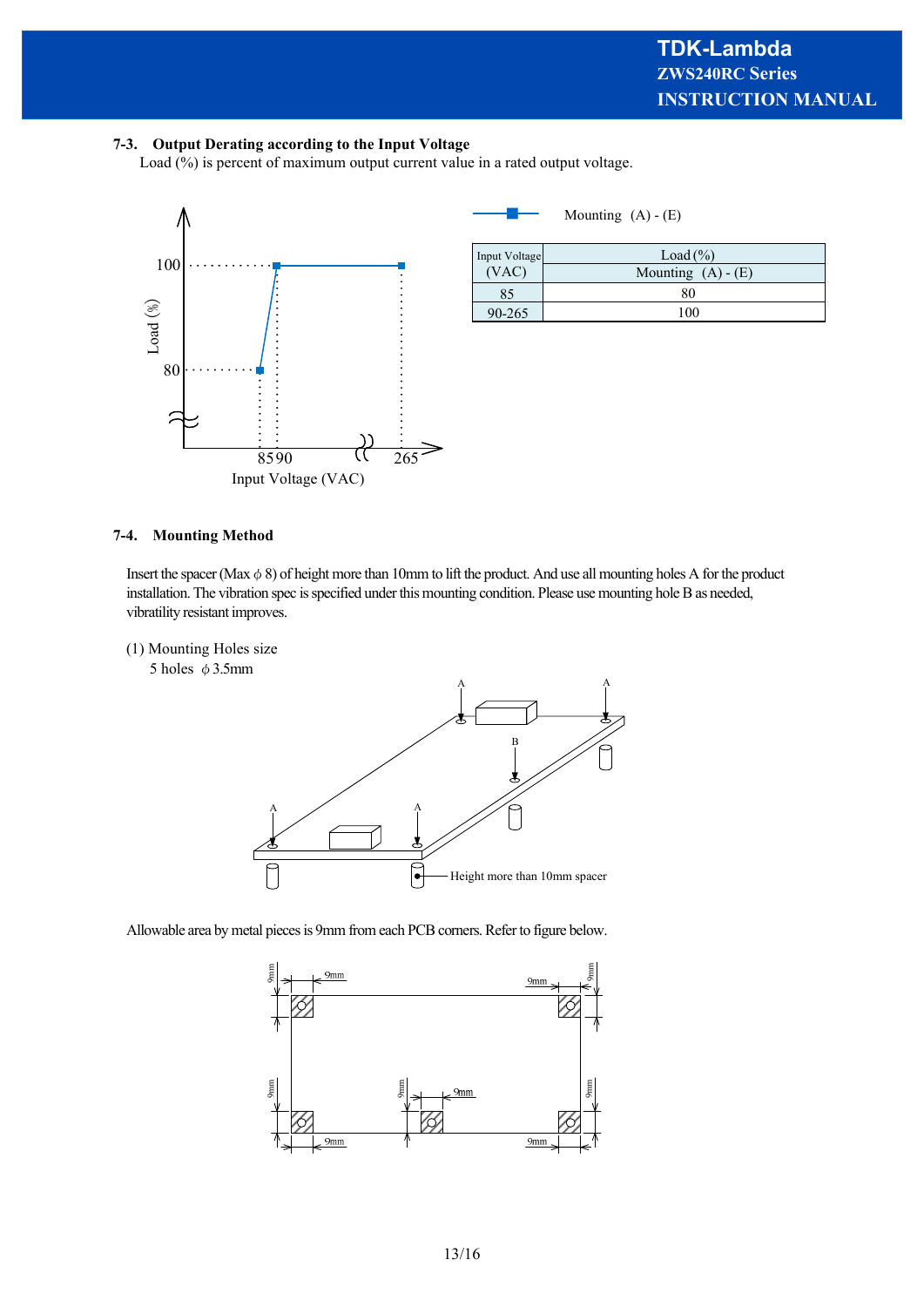#### **7-3. Output Derating according to the Input Voltage**

Load (%) is percent of maximum output current value in a rated output voltage.



■ Mounting  $(A) - (E)$ 

| Input Voltage<br>(VAC) | Load $(\% )$         |
|------------------------|----------------------|
|                        | Mounting $(A) - (E)$ |
| כא                     | 86                   |
| 90-265                 | '00                  |

#### **7-4. Mounting Method**

Insert the spacer (Max  $\phi$  8) of height more than 10mm to lift the product. And use all mounting holes A for the product installation. The vibration spec is specified under this mounting condition. Please use mounting hole B as needed, vibratility resistant improves.

(1) Mounting Holes size





Allowable area by metal pieces is 9mm from each PCB corners. Refer to figure below.

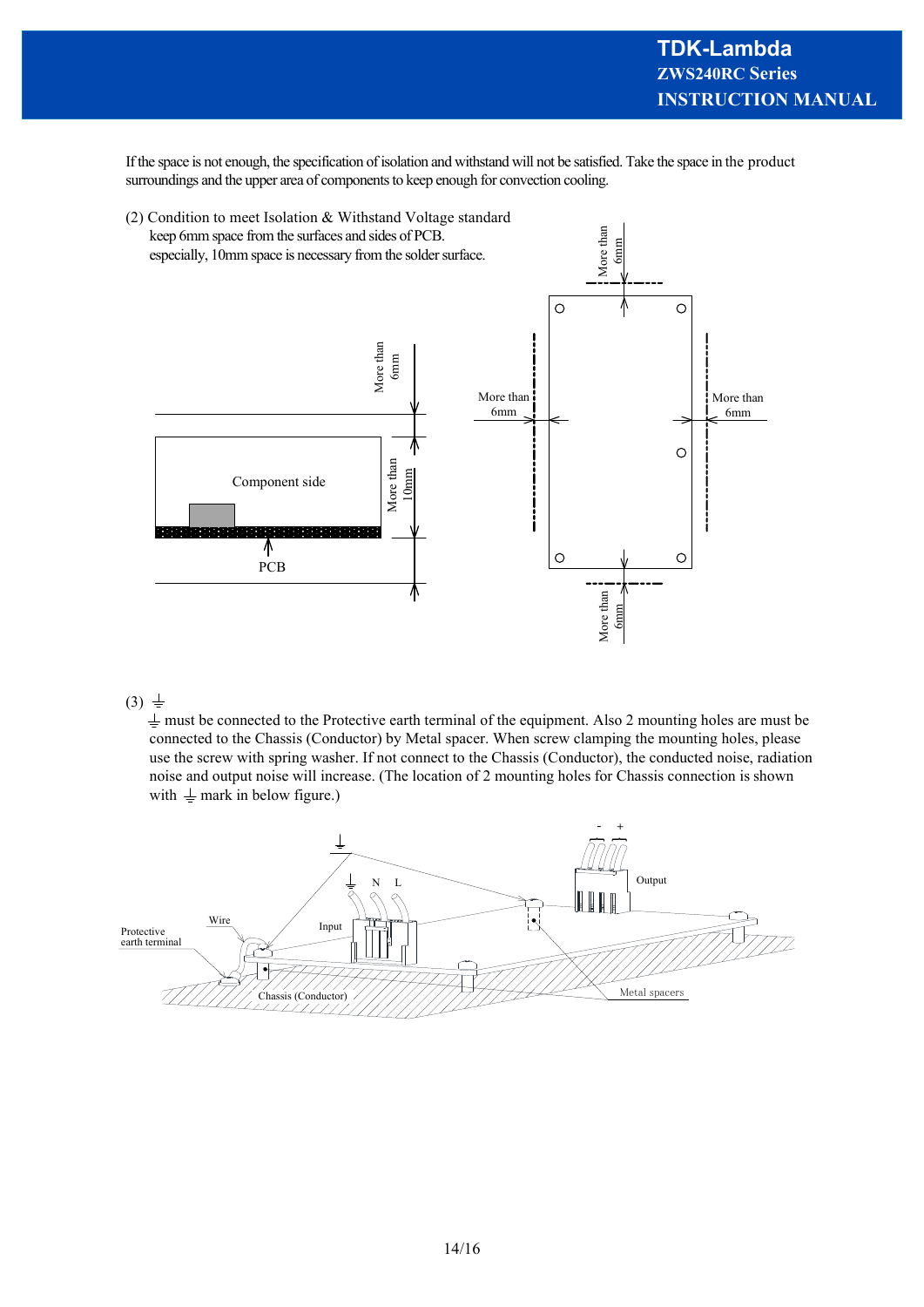If the space is not enough, the specification of isolation and withstand will not be satisfied. Take the space in the product surroundings and the upper area of components to keep enough for convection cooling.



#### $(3) \pm$

 $\frac{1}{2}$  must be connected to the Protective earth terminal of the equipment. Also 2 mounting holes are must be connected to the Chassis (Conductor) by Metal spacer. When screw clamping the mounting holes, please use the screw with spring washer. If not connect to the Chassis (Conductor), the conducted noise, radiation noise and output noise will increase. (The location of 2 mounting holes for Chassis connection is shown with  $\perp$  mark in below figure.)

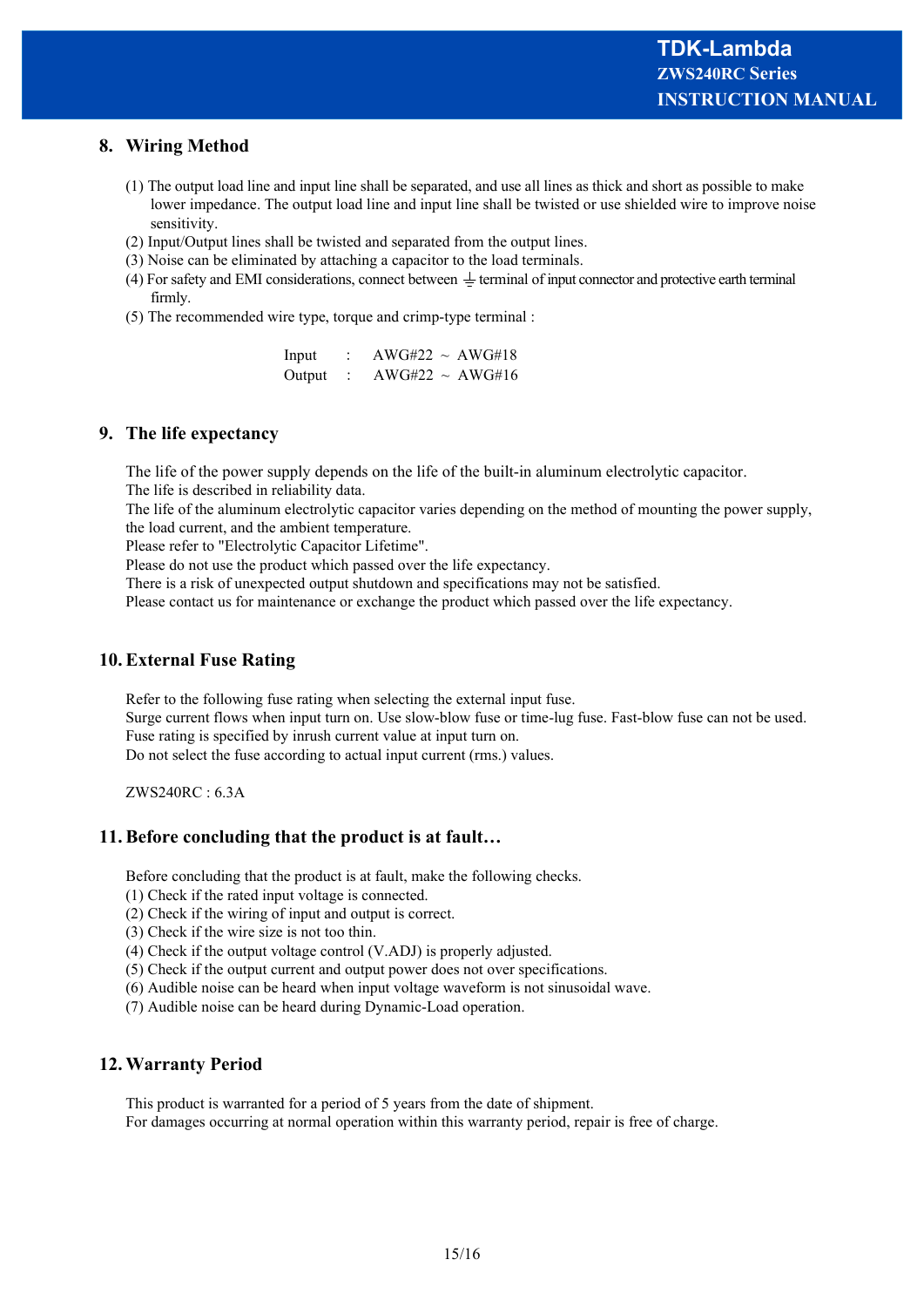## **8. Wiring Method**

- (1) The output load line and input line shall be separated, and use all lines as thick and short as possible to make lower impedance. The output load line and input line shall be twisted or use shielded wire to improve noise sensitivity.
- (2) Input/Output lines shall be twisted and separated from the output lines.
- (3) Noise can be eliminated by attaching a capacitor to the load terminals.
- (4) For safety and EMI considerations, connect between  $\pm$  terminal of input connector and protective earth terminal firmly.
- (5) The recommended wire type, torque and crimp-type terminal :

| Input  | $AWG#22 \sim AWG#18$ |
|--------|----------------------|
| Output | $AWG#22 \sim AWG#16$ |

## **9. The life expectancy**

The life of the power supply depends on the life of the built-in aluminum electrolytic capacitor. The life is described in reliability data.

The life of the aluminum electrolytic capacitor varies depending on the method of mounting the power supply, the load current, and the ambient temperature.

Please refer to "Electrolytic Capacitor Lifetime".

Please do not use the product which passed over the life expectancy.

There is a risk of unexpected output shutdown and specifications may not be satisfied.

Please contact us for maintenance or exchange the product which passed over the life expectancy.

## **10. External Fuse Rating**

Refer to the following fuse rating when selecting the external input fuse. Surge current flows when input turn on. Use slow-blow fuse or time-lug fuse. Fast-blow fuse can not be used. Fuse rating is specified by inrush current value at input turn on. Do not select the fuse according to actual input current (rms.) values.

ZWS240RC : 6.3A

## **11. Before concluding that the product is at fault…**

Before concluding that the product is at fault, make the following checks.

- (1) Check if the rated input voltage is connected.
- (2) Check if the wiring of input and output is correct.
- (3) Check if the wire size is not too thin.
- (4) Check if the output voltage control (V.ADJ) is properly adjusted.
- (5) Check if the output current and output power does not over specifications.
- (6) Audible noise can be heard when input voltage waveform is not sinusoidal wave.
- (7) Audible noise can be heard during Dynamic-Load operation.

## **12. Warranty Period**

This product is warranted for a period of 5 years from the date of shipment. For damages occurring at normal operation within this warranty period, repair is free of charge.